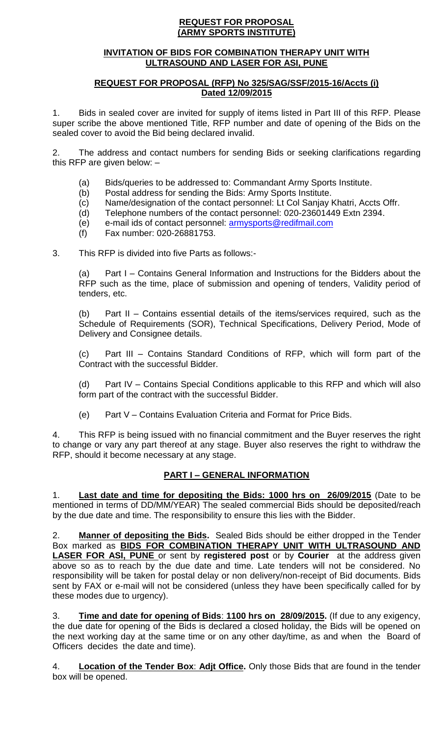### **REQUEST FOR PROPOSAL (ARMY SPORTS INSTITUTE)**

## **INVITATION OF BIDS FOR COMBINATION THERAPY UNIT WITH ULTRASOUND AND LASER FOR ASI, PUNE**

## **REQUEST FOR PROPOSAL (RFP) No 325/SAG/SSF/2015-16/Accts (i) Dated 12/09/2015**

1. Bids in sealed cover are invited for supply of items listed in Part III of this RFP. Please super scribe the above mentioned Title, RFP number and date of opening of the Bids on the sealed cover to avoid the Bid being declared invalid.

2. The address and contact numbers for sending Bids or seeking clarifications regarding this RFP are given below: –

- (a) Bids/queries to be addressed to: Commandant Army Sports Institute.
- (b) Postal address for sending the Bids: Army Sports Institute.
- (c) Name/designation of the contact personnel: Lt Col Sanjay Khatri, Accts Offr.
- (d) Telephone numbers of the contact personnel: 020-23601449 Extn 2394.
- (e) e-mail ids of contact personnel: [armysports@redifmail.com](mailto:armysports@redifmail.com)
- (f) Fax number: 020-26881753.

3. This RFP is divided into five Parts as follows:-

(a) Part I – Contains General Information and Instructions for the Bidders about the RFP such as the time, place of submission and opening of tenders, Validity period of tenders, etc.

(b) Part II – Contains essential details of the items/services required, such as the Schedule of Requirements (SOR), Technical Specifications, Delivery Period, Mode of Delivery and Consignee details.

(c) Part III – Contains Standard Conditions of RFP, which will form part of the Contract with the successful Bidder.

(d) Part IV – Contains Special Conditions applicable to this RFP and which will also form part of the contract with the successful Bidder.

(e) Part V – Contains Evaluation Criteria and Format for Price Bids.

4. This RFP is being issued with no financial commitment and the Buyer reserves the right to change or vary any part thereof at any stage. Buyer also reserves the right to withdraw the RFP, should it become necessary at any stage.

# **PART I – GENERAL INFORMATION**

1. **Last date and time for depositing the Bids: 1000 hrs on 26/09/2015** (Date to be mentioned in terms of DD/MM/YEAR) The sealed commercial Bids should be deposited/reach by the due date and time. The responsibility to ensure this lies with the Bidder.

2. **Manner of depositing the Bids.** Sealed Bids should be either dropped in the Tender Box marked as **BIDS FOR COMBINATION THERAPY UNIT WITH ULTRASOUND AND LASER FOR ASI, PUNE** or sent by **registered post** or by **Courier** at the address given above so as to reach by the due date and time. Late tenders will not be considered. No responsibility will be taken for postal delay or non delivery/non-receipt of Bid documents. Bids sent by FAX or e-mail will not be considered (unless they have been specifically called for by these modes due to urgency).

3. **Time and date for opening of Bids**: **1100 hrs on 28/09/2015.** (If due to any exigency, the due date for opening of the Bids is declared a closed holiday, the Bids will be opened on the next working day at the same time or on any other day/time, as and when the Board of Officers decides the date and time).

4. **Location of the Tender Box**: **Adjt Office.** Only those Bids that are found in the tender box will be opened.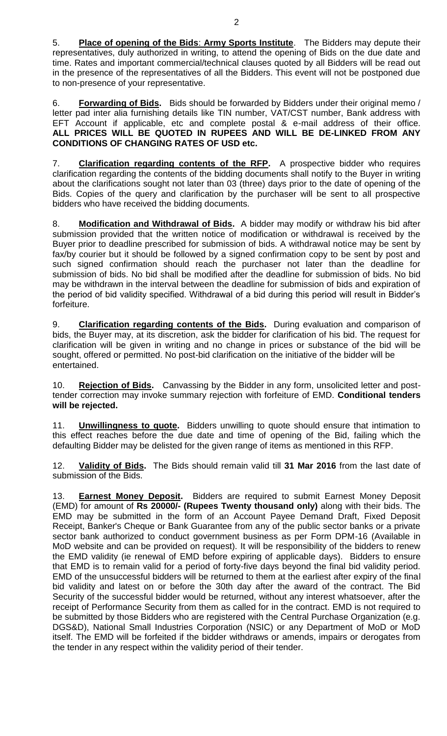5. **Place of opening of the Bids**: **Army Sports Institute**. The Bidders may depute their representatives, duly authorized in writing, to attend the opening of Bids on the due date and time. Rates and important commercial/technical clauses quoted by all Bidders will be read out in the presence of the representatives of all the Bidders. This event will not be postponed due to non-presence of your representative.

6. **Forwarding of Bids.** Bids should be forwarded by Bidders under their original memo / letter pad inter alia furnishing details like TIN number, VAT/CST number, Bank address with EFT Account if applicable, etc and complete postal & e-mail address of their office. **ALL PRICES WILL BE QUOTED IN RUPEES AND WILL BE DE-LINKED FROM ANY CONDITIONS OF CHANGING RATES OF USD etc.**

7. **Clarification regarding contents of the RFP.** A prospective bidder who requires clarification regarding the contents of the bidding documents shall notify to the Buyer in writing about the clarifications sought not later than 03 (three) days prior to the date of opening of the Bids. Copies of the query and clarification by the purchaser will be sent to all prospective bidders who have received the bidding documents.

8. **Modification and Withdrawal of Bids.** A bidder may modify or withdraw his bid after submission provided that the written notice of modification or withdrawal is received by the Buyer prior to deadline prescribed for submission of bids. A withdrawal notice may be sent by fax/by courier but it should be followed by a signed confirmation copy to be sent by post and such signed confirmation should reach the purchaser not later than the deadline for submission of bids. No bid shall be modified after the deadline for submission of bids. No bid may be withdrawn in the interval between the deadline for submission of bids and expiration of the period of bid validity specified. Withdrawal of a bid during this period will result in Bidder's forfeiture.

9. **Clarification regarding contents of the Bids.** During evaluation and comparison of bids, the Buyer may, at its discretion, ask the bidder for clarification of his bid. The request for clarification will be given in writing and no change in prices or substance of the bid will be sought, offered or permitted. No post-bid clarification on the initiative of the bidder will be entertained.

10. **Rejection of Bids.** Canvassing by the Bidder in any form, unsolicited letter and posttender correction may invoke summary rejection with forfeiture of EMD. **Conditional tenders will be rejected.**

11. **Unwillingness to quote.** Bidders unwilling to quote should ensure that intimation to this effect reaches before the due date and time of opening of the Bid, failing which the defaulting Bidder may be delisted for the given range of items as mentioned in this RFP.

12. **Validity of Bids.** The Bids should remain valid till **31 Mar 2016** from the last date of submission of the Bids.

13. **Earnest Money Deposit.** Bidders are required to submit Earnest Money Deposit (EMD) for amount of **Rs 20000/- (Rupees Twenty thousand only)** along with their bids. The EMD may be submitted in the form of an Account Payee Demand Draft, Fixed Deposit Receipt, Banker's Cheque or Bank Guarantee from any of the public sector banks or a private sector bank authorized to conduct government business as per Form DPM-16 (Available in MoD website and can be provided on request). It will be responsibility of the bidders to renew the EMD validity (ie renewal of EMD before expiring of applicable days). Bidders to ensure that EMD is to remain valid for a period of forty-five days beyond the final bid validity period. EMD of the unsuccessful bidders will be returned to them at the earliest after expiry of the final bid validity and latest on or before the 30th day after the award of the contract. The Bid Security of the successful bidder would be returned, without any interest whatsoever, after the receipt of Performance Security from them as called for in the contract. EMD is not required to be submitted by those Bidders who are registered with the Central Purchase Organization (e.g. DGS&D), National Small Industries Corporation (NSIC) or any Department of MoD or MoD itself. The EMD will be forfeited if the bidder withdraws or amends, impairs or derogates from the tender in any respect within the validity period of their tender.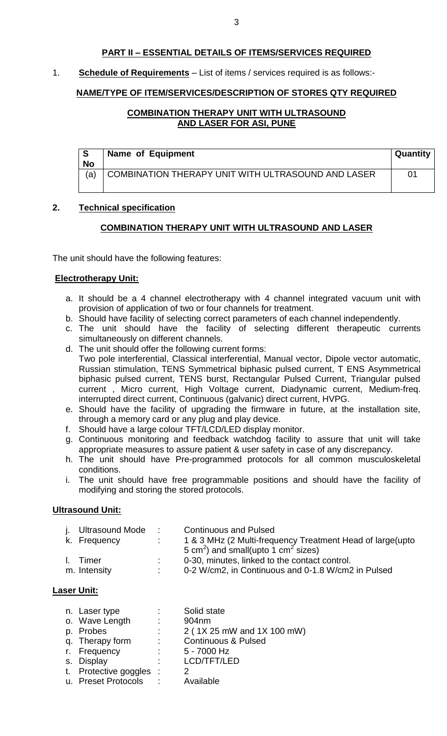## **PART II – ESSENTIAL DETAILS OF ITEMS/SERVICES REQUIRED**

## 1. **Schedule of Requirements** – List of items / services required is as follows:-

## **NAME/TYPE OF ITEM/SERVICES/DESCRIPTION OF STORES QTY REQUIRED**

## **COMBINATION THERAPY UNIT WITH ULTRASOUND AND LASER FOR ASI, PUNE**

| <b>S</b><br><b>No</b> | Name of Equipment                                  | <b>Quantity</b> |
|-----------------------|----------------------------------------------------|-----------------|
| (a)                   | COMBINATION THERAPY UNIT WITH ULTRASOUND AND LASER | $^{\circ}$      |

### **2. Technical specification**

## **COMBINATION THERAPY UNIT WITH ULTRASOUND AND LASER**

The unit should have the following features:

### **Electrotherapy Unit:**

- a. It should be a 4 channel electrotherapy with 4 channel integrated vacuum unit with provision of application of two or four channels for treatment.
- b. Should have facility of selecting correct parameters of each channel independently.
- c. The unit should have the facility of selecting different therapeutic currents simultaneously on different channels.
- d. The unit should offer the following current forms: Two pole interferential, Classical interferential, Manual vector, Dipole vector automatic, Russian stimulation, TENS Symmetrical biphasic pulsed current, T ENS Asymmetrical biphasic pulsed current, TENS burst, Rectangular Pulsed Current, Triangular pulsed current , Micro current, High Voltage current, Diadynamic current, Medium-freq. interrupted direct current, Continuous (galvanic) direct current, HVPG.
- e. Should have the facility of upgrading the firmware in future, at the installation site, through a memory card or any plug and play device.
- f. Should have a large colour TFT/LCD/LED display monitor.
- g. Continuous monitoring and feedback watchdog facility to assure that unit will take appropriate measures to assure patient & user safety in case of any discrepancy.
- h. The unit should have Pre-programmed protocols for all common musculoskeletal conditions.
- i. The unit should have free programmable positions and should have the facility of modifying and storing the stored protocols.

## **Ultrasound Unit:**

| j. Ultrasound Mode | <b>Contractor</b> | <b>Continuous and Pulsed</b>                                |
|--------------------|-------------------|-------------------------------------------------------------|
| k. Frequency       |                   | 1 & 3 MHz (2 Multi-frequency Treatment Head of large (upto  |
|                    |                   | 5 cm <sup>2</sup> ) and small(upto 1 cm <sup>2</sup> sizes) |
| I. Timer           |                   | 0-30, minutes, linked to the contact control.               |
| m. Intensity       |                   | 0-2 W/cm2, in Continuous and 0-1.8 W/cm2 in Pulsed          |

## **Laser Unit:**

| n. Laser type           | ÷.                           | Solid state                    |
|-------------------------|------------------------------|--------------------------------|
| o. Wave Length          | $\mathbb{Z}^{\mathbb{Z}}$    | 904nm                          |
| p. Probes               | t i                          | 2 (1X 25 mW and 1X 100 mW)     |
| q. Therapy form         | $\mathcal{L}_{\mathrm{max}}$ | <b>Continuous &amp; Pulsed</b> |
| r. Frequency            | $\sim$ 100 $\sim$            | 5 - 7000 Hz                    |
| s. Display              | ٠                            | LCD/TFT/LED                    |
| t. Protective goggles : |                              |                                |
| u. Preset Protocols     | $\sim 10$                    | Available                      |
|                         |                              |                                |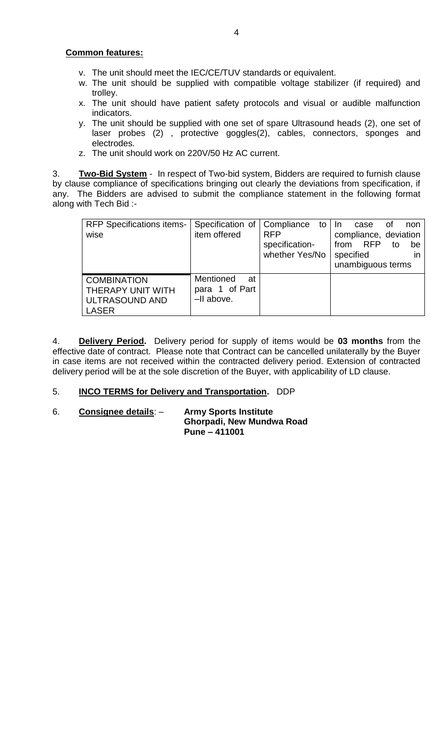## **Common features:**

- v. The unit should meet the IEC/CE/TUV standards or equivalent.
- w. The unit should be supplied with compatible voltage stabilizer (if required) and trolley.
- x. The unit should have patient safety protocols and visual or audible malfunction indicators.
- y. The unit should be supplied with one set of spare Ultrasound heads (2), one set of laser probes (2) , protective goggles(2), cables, connectors, sponges and electrodes.
- z. The unit should work on 220V/50 Hz AC current.

3. **Two-Bid System** - In respect of Two-bid system, Bidders are required to furnish clause by clause compliance of specifications bringing out clearly the deviations from specification, if any. The Bidders are advised to submit the compliance statement in the following format along with Tech Bid :-

| <b>RFP Specifications items-</b><br>wise                                  | Specification of   Compliance<br>item offered   | to<br><b>RFP</b><br>specification-<br>whether Yes/No | -In<br>non<br>case<br>Οt<br>compliance, deviation<br><b>RFP</b><br>from<br>to<br>be<br>specified<br>in<br>unambiguous terms |
|---------------------------------------------------------------------------|-------------------------------------------------|------------------------------------------------------|-----------------------------------------------------------------------------------------------------------------------------|
| <b>COMBINATION</b><br>THERAPY UNIT WITH<br>ULTRASOUND AND<br><b>LASER</b> | Mentioned<br>at<br>para 1 of Part<br>-II above. |                                                      |                                                                                                                             |

4. **Delivery Period.** Delivery period for supply of items would be **03 months** from the effective date of contract. Please note that Contract can be cancelled unilaterally by the Buyer in case items are not received within the contracted delivery period. Extension of contracted delivery period will be at the sole discretion of the Buyer, with applicability of LD clause.

## 5. **INCO TERMS for Delivery and Transportation.** DDP

6. **Consignee details**: – **Army Sports Institute Ghorpadi, New Mundwa Road Pune – 411001**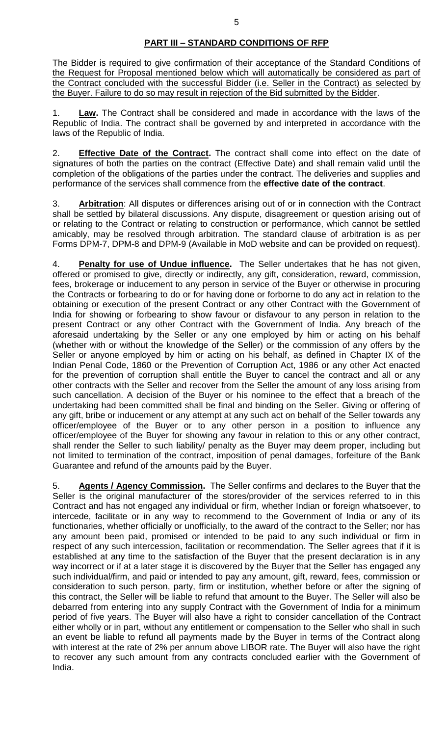# **PART III – STANDARD CONDITIONS OF RFP**

The Bidder is required to give confirmation of their acceptance of the Standard Conditions of the Request for Proposal mentioned below which will automatically be considered as part of the Contract concluded with the successful Bidder (i.e. Seller in the Contract) as selected by the Buyer. Failure to do so may result in rejection of the Bid submitted by the Bidder.

1. **Law.** The Contract shall be considered and made in accordance with the laws of the Republic of India. The contract shall be governed by and interpreted in accordance with the laws of the Republic of India.

2. **Effective Date of the Contract.** The contract shall come into effect on the date of signatures of both the parties on the contract (Effective Date) and shall remain valid until the completion of the obligations of the parties under the contract. The deliveries and supplies and performance of the services shall commence from the **effective date of the contract**.

3. **Arbitration**: All disputes or differences arising out of or in connection with the Contract shall be settled by bilateral discussions. Any dispute, disagreement or question arising out of or relating to the Contract or relating to construction or performance, which cannot be settled amicably, may be resolved through arbitration. The standard clause of arbitration is as per Forms DPM-7, DPM-8 and DPM-9 (Available in MoD website and can be provided on request).

4. **Penalty for use of Undue influence.** The Seller undertakes that he has not given, offered or promised to give, directly or indirectly, any gift, consideration, reward, commission, fees, brokerage or inducement to any person in service of the Buyer or otherwise in procuring the Contracts or forbearing to do or for having done or forborne to do any act in relation to the obtaining or execution of the present Contract or any other Contract with the Government of India for showing or forbearing to show favour or disfavour to any person in relation to the present Contract or any other Contract with the Government of India. Any breach of the aforesaid undertaking by the Seller or any one employed by him or acting on his behalf (whether with or without the knowledge of the Seller) or the commission of any offers by the Seller or anyone employed by him or acting on his behalf, as defined in Chapter IX of the Indian Penal Code, 1860 or the Prevention of Corruption Act, 1986 or any other Act enacted for the prevention of corruption shall entitle the Buyer to cancel the contract and all or any other contracts with the Seller and recover from the Seller the amount of any loss arising from such cancellation. A decision of the Buyer or his nominee to the effect that a breach of the undertaking had been committed shall be final and binding on the Seller. Giving or offering of any gift, bribe or inducement or any attempt at any such act on behalf of the Seller towards any officer/employee of the Buyer or to any other person in a position to influence any officer/employee of the Buyer for showing any favour in relation to this or any other contract, shall render the Seller to such liability/ penalty as the Buyer may deem proper, including but not limited to termination of the contract, imposition of penal damages, forfeiture of the Bank Guarantee and refund of the amounts paid by the Buyer.

5. **Agents / Agency Commission.** The Seller confirms and declares to the Buyer that the Seller is the original manufacturer of the stores/provider of the services referred to in this Contract and has not engaged any individual or firm, whether Indian or foreign whatsoever, to intercede, facilitate or in any way to recommend to the Government of India or any of its functionaries, whether officially or unofficially, to the award of the contract to the Seller; nor has any amount been paid, promised or intended to be paid to any such individual or firm in respect of any such intercession, facilitation or recommendation. The Seller agrees that if it is established at any time to the satisfaction of the Buyer that the present declaration is in any way incorrect or if at a later stage it is discovered by the Buyer that the Seller has engaged any such individual/firm, and paid or intended to pay any amount, gift, reward, fees, commission or consideration to such person, party, firm or institution, whether before or after the signing of this contract, the Seller will be liable to refund that amount to the Buyer. The Seller will also be debarred from entering into any supply Contract with the Government of India for a minimum period of five years. The Buyer will also have a right to consider cancellation of the Contract either wholly or in part, without any entitlement or compensation to the Seller who shall in such an event be liable to refund all payments made by the Buyer in terms of the Contract along with interest at the rate of 2% per annum above LIBOR rate. The Buyer will also have the right to recover any such amount from any contracts concluded earlier with the Government of India.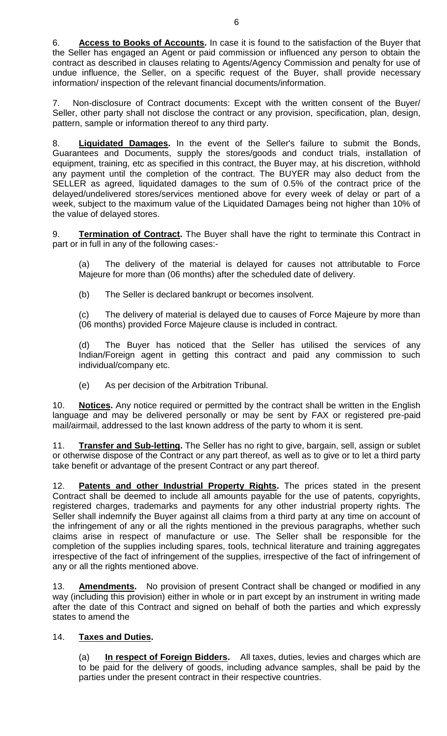6. **Access to Books of Accounts.** In case it is found to the satisfaction of the Buyer that the Seller has engaged an Agent or paid commission or influenced any person to obtain the contract as described in clauses relating to Agents/Agency Commission and penalty for use of undue influence, the Seller, on a specific request of the Buyer, shall provide necessary information/ inspection of the relevant financial documents/information.

7. Non-disclosure of Contract documents: Except with the written consent of the Buyer/ Seller, other party shall not disclose the contract or any provision, specification, plan, design, pattern, sample or information thereof to any third party.

8. **Liquidated Damages.** In the event of the Seller's failure to submit the Bonds, Guarantees and Documents, supply the stores/goods and conduct trials, installation of equipment, training, etc as specified in this contract, the Buyer may, at his discretion, withhold any payment until the completion of the contract. The BUYER may also deduct from the SELLER as agreed, liquidated damages to the sum of 0.5% of the contract price of the delayed/undelivered stores/services mentioned above for every week of delay or part of a week, subject to the maximum value of the Liquidated Damages being not higher than 10% of the value of delayed stores.

9. **Termination of Contract.** The Buyer shall have the right to terminate this Contract in part or in full in any of the following cases:-

(a) The delivery of the material is delayed for causes not attributable to Force Majeure for more than (06 months) after the scheduled date of delivery.

(b) The Seller is declared bankrupt or becomes insolvent.

(c) The delivery of material is delayed due to causes of Force Majeure by more than (06 months) provided Force Majeure clause is included in contract.

(d) The Buyer has noticed that the Seller has utilised the services of any Indian/Foreign agent in getting this contract and paid any commission to such individual/company etc.

(e) As per decision of the Arbitration Tribunal.

10. **Notices.** Any notice required or permitted by the contract shall be written in the English language and may be delivered personally or may be sent by FAX or registered pre-paid mail/airmail, addressed to the last known address of the party to whom it is sent.

11. **Transfer and Sub-letting.** The Seller has no right to give, bargain, sell, assign or sublet or otherwise dispose of the Contract or any part thereof, as well as to give or to let a third party take benefit or advantage of the present Contract or any part thereof.

12. **Patents and other Industrial Property Rights.** The prices stated in the present Contract shall be deemed to include all amounts payable for the use of patents, copyrights, registered charges, trademarks and payments for any other industrial property rights. The Seller shall indemnify the Buyer against all claims from a third party at any time on account of the infringement of any or all the rights mentioned in the previous paragraphs, whether such claims arise in respect of manufacture or use. The Seller shall be responsible for the completion of the supplies including spares, tools, technical literature and training aggregates irrespective of the fact of infringement of the supplies, irrespective of the fact of infringement of any or all the rights mentioned above.

13. **Amendments.** No provision of present Contract shall be changed or modified in any way (including this provision) either in whole or in part except by an instrument in writing made after the date of this Contract and signed on behalf of both the parties and which expressly states to amend the

## 14. **Taxes and Duties.**

(a) **In respect of Foreign Bidders.** All taxes, duties, levies and charges which are to be paid for the delivery of goods, including advance samples, shall be paid by the parties under the present contract in their respective countries.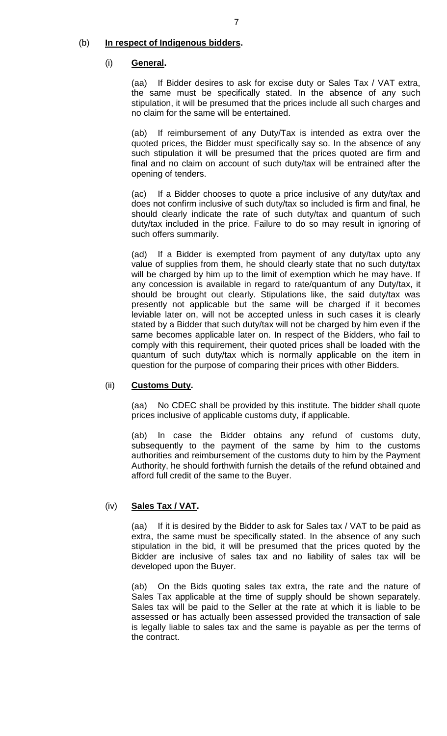## (b) **In respect of Indigenous bidders.**

#### (i) **General.**

(aa) If Bidder desires to ask for excise duty or Sales Tax / VAT extra, the same must be specifically stated. In the absence of any such stipulation, it will be presumed that the prices include all such charges and no claim for the same will be entertained.

(ab) If reimbursement of any Duty/Tax is intended as extra over the quoted prices, the Bidder must specifically say so. In the absence of any such stipulation it will be presumed that the prices quoted are firm and final and no claim on account of such duty/tax will be entrained after the opening of tenders.

(ac) If a Bidder chooses to quote a price inclusive of any duty/tax and does not confirm inclusive of such duty/tax so included is firm and final, he should clearly indicate the rate of such duty/tax and quantum of such duty/tax included in the price. Failure to do so may result in ignoring of such offers summarily.

(ad) If a Bidder is exempted from payment of any duty/tax upto any value of supplies from them, he should clearly state that no such duty/tax will be charged by him up to the limit of exemption which he may have. If any concession is available in regard to rate/quantum of any Duty/tax, it should be brought out clearly. Stipulations like, the said duty/tax was presently not applicable but the same will be charged if it becomes leviable later on, will not be accepted unless in such cases it is clearly stated by a Bidder that such duty/tax will not be charged by him even if the same becomes applicable later on. In respect of the Bidders, who fail to comply with this requirement, their quoted prices shall be loaded with the quantum of such duty/tax which is normally applicable on the item in question for the purpose of comparing their prices with other Bidders.

#### (ii) **Customs Duty.**

(aa) No CDEC shall be provided by this institute. The bidder shall quote prices inclusive of applicable customs duty, if applicable.

(ab) In case the Bidder obtains any refund of customs duty, subsequently to the payment of the same by him to the customs authorities and reimbursement of the customs duty to him by the Payment Authority, he should forthwith furnish the details of the refund obtained and afford full credit of the same to the Buyer.

## (iv) **Sales Tax / VAT.**

(aa) If it is desired by the Bidder to ask for Sales tax / VAT to be paid as extra, the same must be specifically stated. In the absence of any such stipulation in the bid, it will be presumed that the prices quoted by the Bidder are inclusive of sales tax and no liability of sales tax will be developed upon the Buyer.

(ab) On the Bids quoting sales tax extra, the rate and the nature of Sales Tax applicable at the time of supply should be shown separately. Sales tax will be paid to the Seller at the rate at which it is liable to be assessed or has actually been assessed provided the transaction of sale is legally liable to sales tax and the same is payable as per the terms of the contract.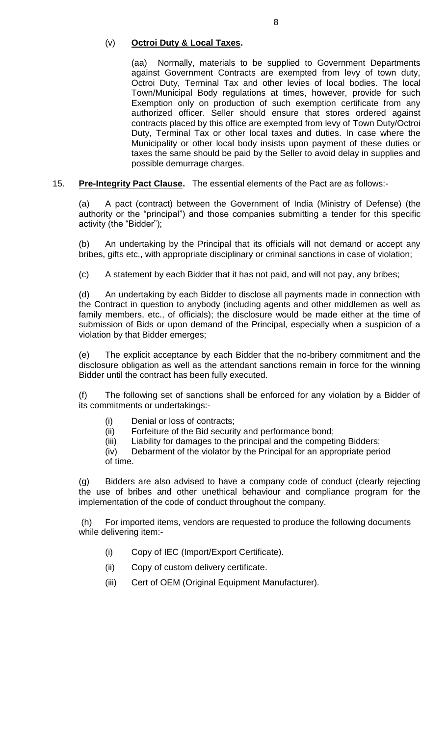## (v) **Octroi Duty & Local Taxes.**

(aa) Normally, materials to be supplied to Government Departments against Government Contracts are exempted from levy of town duty, Octroi Duty, Terminal Tax and other levies of local bodies. The local Town/Municipal Body regulations at times, however, provide for such Exemption only on production of such exemption certificate from any authorized officer. Seller should ensure that stores ordered against contracts placed by this office are exempted from levy of Town Duty/Octroi Duty, Terminal Tax or other local taxes and duties. In case where the Municipality or other local body insists upon payment of these duties or taxes the same should be paid by the Seller to avoid delay in supplies and possible demurrage charges.

15. **Pre-Integrity Pact Clause.** The essential elements of the Pact are as follows:-

(a) A pact (contract) between the Government of India (Ministry of Defense) (the authority or the "principal") and those companies submitting a tender for this specific activity (the "Bidder");

(b) An undertaking by the Principal that its officials will not demand or accept any bribes, gifts etc., with appropriate disciplinary or criminal sanctions in case of violation;

(c) A statement by each Bidder that it has not paid, and will not pay, any bribes;

(d) An undertaking by each Bidder to disclose all payments made in connection with the Contract in question to anybody (including agents and other middlemen as well as family members, etc., of officials); the disclosure would be made either at the time of submission of Bids or upon demand of the Principal, especially when a suspicion of a violation by that Bidder emerges;

(e) The explicit acceptance by each Bidder that the no-bribery commitment and the disclosure obligation as well as the attendant sanctions remain in force for the winning Bidder until the contract has been fully executed.

(f) The following set of sanctions shall be enforced for any violation by a Bidder of its commitments or undertakings:-

- (i) Denial or loss of contracts;
- (ii) Forfeiture of the Bid security and performance bond;
- (iii) Liability for damages to the principal and the competing Bidders;

 (iv) Debarment of the violator by the Principal for an appropriate period of time.

(g) Bidders are also advised to have a company code of conduct (clearly rejecting the use of bribes and other unethical behaviour and compliance program for the implementation of the code of conduct throughout the company.

For imported items, vendors are requested to produce the following documents while delivering item:-

- (i) Copy of IEC (Import/Export Certificate).
- (ii) Copy of custom delivery certificate.
- (iii) Cert of OEM (Original Equipment Manufacturer).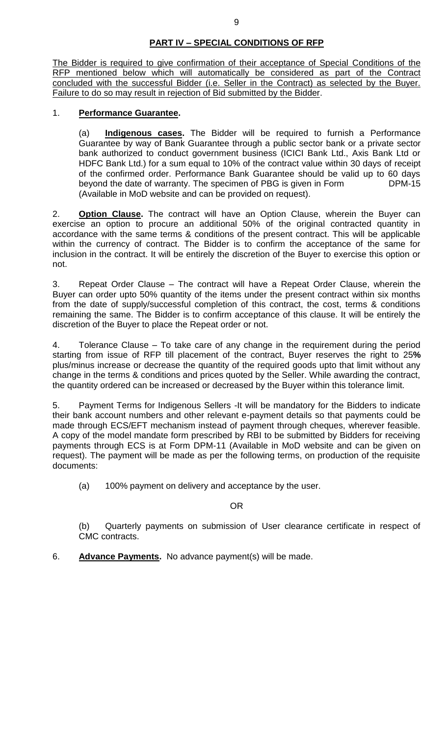# **PART IV – SPECIAL CONDITIONS OF RFP**

The Bidder is required to give confirmation of their acceptance of Special Conditions of the RFP mentioned below which will automatically be considered as part of the Contract concluded with the successful Bidder (i.e. Seller in the Contract) as selected by the Buyer. Failure to do so may result in rejection of Bid submitted by the Bidder.

## 1. **Performance Guarantee.**

(a) **Indigenous cases.** The Bidder will be required to furnish a Performance Guarantee by way of Bank Guarantee through a public sector bank or a private sector bank authorized to conduct government business (ICICI Bank Ltd., Axis Bank Ltd or HDFC Bank Ltd.) for a sum equal to 10% of the contract value within 30 days of receipt of the confirmed order. Performance Bank Guarantee should be valid up to 60 days beyond the date of warranty. The specimen of PBG is given in Form DPM-15 (Available in MoD website and can be provided on request).

2. **Option Clause.** The contract will have an Option Clause, wherein the Buyer can exercise an option to procure an additional 50% of the original contracted quantity in accordance with the same terms & conditions of the present contract. This will be applicable within the currency of contract. The Bidder is to confirm the acceptance of the same for inclusion in the contract. It will be entirely the discretion of the Buyer to exercise this option or not.

3. Repeat Order Clause – The contract will have a Repeat Order Clause, wherein the Buyer can order upto 50% quantity of the items under the present contract within six months from the date of supply/successful completion of this contract, the cost, terms & conditions remaining the same. The Bidder is to confirm acceptance of this clause. It will be entirely the discretion of the Buyer to place the Repeat order or not.

4. Tolerance Clause – To take care of any change in the requirement during the period starting from issue of RFP till placement of the contract, Buyer reserves the right to 25**%**  plus/minus increase or decrease the quantity of the required goods upto that limit without any change in the terms & conditions and prices quoted by the Seller. While awarding the contract, the quantity ordered can be increased or decreased by the Buyer within this tolerance limit.

5. Payment Terms for Indigenous Sellers -It will be mandatory for the Bidders to indicate their bank account numbers and other relevant e-payment details so that payments could be made through ECS/EFT mechanism instead of payment through cheques, wherever feasible. A copy of the model mandate form prescribed by RBI to be submitted by Bidders for receiving payments through ECS is at Form DPM-11 (Available in MoD website and can be given on request). The payment will be made as per the following terms, on production of the requisite documents:

(a) 100% payment on delivery and acceptance by the user.

OR

(b) Quarterly payments on submission of User clearance certificate in respect of CMC contracts.

6. **Advance Payments.** No advance payment(s) will be made.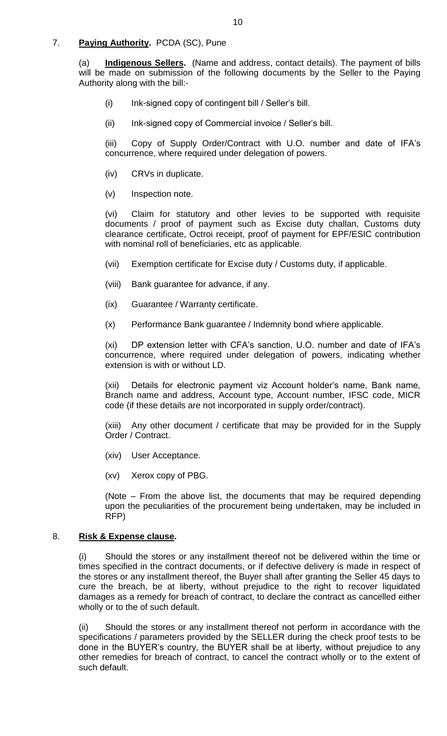## 7. **Paying Authority.** PCDA (SC), Pune

(a) **Indigenous Sellers.** (Name and address, contact details). The payment of bills will be made on submission of the following documents by the Seller to the Paying Authority along with the bill:-

- (i) Ink-signed copy of contingent bill / Seller's bill.
- (ii) Ink-signed copy of Commercial invoice / Seller's bill.

(iii) Copy of Supply Order/Contract with U.O. number and date of IFA's concurrence, where required under delegation of powers.

- (iv) CRVs in duplicate.
- (v) Inspection note.

(vi) Claim for statutory and other levies to be supported with requisite documents / proof of payment such as Excise duty challan, Customs duty clearance certificate, Octroi receipt, proof of payment for EPF/ESIC contribution with nominal roll of beneficiaries, etc as applicable.

- (vii) Exemption certificate for Excise duty / Customs duty, if applicable.
- (viii) Bank guarantee for advance, if any.
- (ix) Guarantee / Warranty certificate.
- (x) Performance Bank guarantee / Indemnity bond where applicable.

(xi) DP extension letter with CFA's sanction, U.O. number and date of IFA's concurrence, where required under delegation of powers, indicating whether extension is with or without LD.

(xii) Details for electronic payment viz Account holder's name, Bank name, Branch name and address, Account type, Account number, IFSC code, MICR code (if these details are not incorporated in supply order/contract).

(xiii) Any other document / certificate that may be provided for in the Supply Order / Contract.

- (xiv) User Acceptance.
- (xv) Xerox copy of PBG.

(Note – From the above list, the documents that may be required depending upon the peculiarities of the procurement being undertaken, may be included in RFP)

#### 8. **Risk & Expense clause.**

(i) Should the stores or any installment thereof not be delivered within the time or times specified in the contract documents, or if defective delivery is made in respect of the stores or any installment thereof, the Buyer shall after granting the Seller 45 days to cure the breach, be at liberty, without prejudice to the right to recover liquidated damages as a remedy for breach of contract, to declare the contract as cancelled either wholly or to the of such default.

(ii) Should the stores or any installment thereof not perform in accordance with the specifications / parameters provided by the SELLER during the check proof tests to be done in the BUYER's country, the BUYER shall be at liberty, without prejudice to any other remedies for breach of contract, to cancel the contract wholly or to the extent of such default.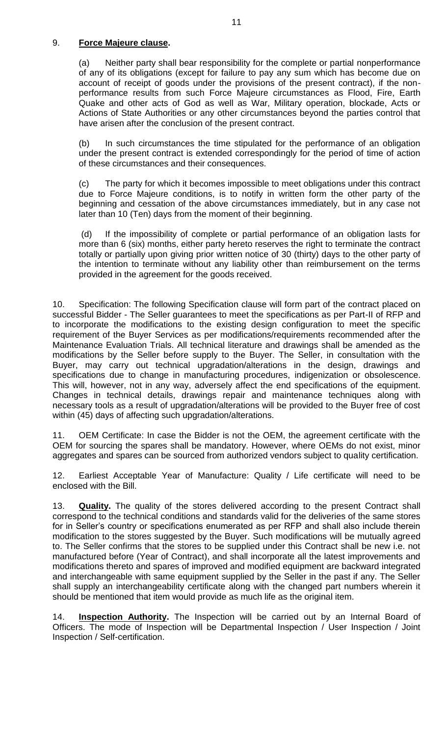## 9. **Force Majeure clause.**

(a) Neither party shall bear responsibility for the complete or partial nonperformance of any of its obligations (except for failure to pay any sum which has become due on account of receipt of goods under the provisions of the present contract), if the nonperformance results from such Force Majeure circumstances as Flood, Fire, Earth Quake and other acts of God as well as War, Military operation, blockade, Acts or Actions of State Authorities or any other circumstances beyond the parties control that have arisen after the conclusion of the present contract.

(b) In such circumstances the time stipulated for the performance of an obligation under the present contract is extended correspondingly for the period of time of action of these circumstances and their consequences.

(c) The party for which it becomes impossible to meet obligations under this contract due to Force Majeure conditions, is to notify in written form the other party of the beginning and cessation of the above circumstances immediately, but in any case not later than 10 (Ten) days from the moment of their beginning.

(d) If the impossibility of complete or partial performance of an obligation lasts for more than 6 (six) months, either party hereto reserves the right to terminate the contract totally or partially upon giving prior written notice of 30 (thirty) days to the other party of the intention to terminate without any liability other than reimbursement on the terms provided in the agreement for the goods received.

10. Specification: The following Specification clause will form part of the contract placed on successful Bidder - The Seller guarantees to meet the specifications as per Part-II of RFP and to incorporate the modifications to the existing design configuration to meet the specific requirement of the Buyer Services as per modifications/requirements recommended after the Maintenance Evaluation Trials. All technical literature and drawings shall be amended as the modifications by the Seller before supply to the Buyer. The Seller, in consultation with the Buyer, may carry out technical upgradation/alterations in the design, drawings and specifications due to change in manufacturing procedures, indigenization or obsolescence. This will, however, not in any way, adversely affect the end specifications of the equipment. Changes in technical details, drawings repair and maintenance techniques along with necessary tools as a result of upgradation/alterations will be provided to the Buyer free of cost within (45) days of affecting such upgradation/alterations.

11. OEM Certificate: In case the Bidder is not the OEM, the agreement certificate with the OEM for sourcing the spares shall be mandatory. However, where OEMs do not exist, minor aggregates and spares can be sourced from authorized vendors subject to quality certification.

12. Earliest Acceptable Year of Manufacture: Quality / Life certificate will need to be enclosed with the Bill.

13. **Quality.** The quality of the stores delivered according to the present Contract shall correspond to the technical conditions and standards valid for the deliveries of the same stores for in Seller's country or specifications enumerated as per RFP and shall also include therein modification to the stores suggested by the Buyer. Such modifications will be mutually agreed to. The Seller confirms that the stores to be supplied under this Contract shall be new i.e. not manufactured before (Year of Contract), and shall incorporate all the latest improvements and modifications thereto and spares of improved and modified equipment are backward integrated and interchangeable with same equipment supplied by the Seller in the past if any. The Seller shall supply an interchangeability certificate along with the changed part numbers wherein it should be mentioned that item would provide as much life as the original item.

14. **Inspection Authority.** The Inspection will be carried out by an Internal Board of Officers. The mode of Inspection will be Departmental Inspection / User Inspection / Joint Inspection / Self-certification.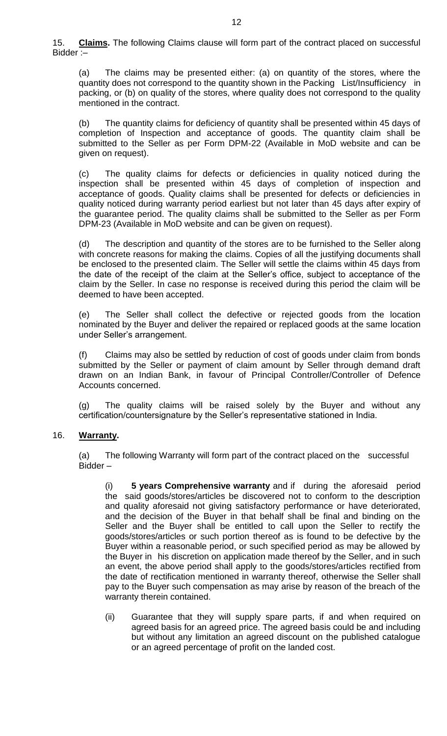15. **Claims.** The following Claims clause will form part of the contract placed on successful Bidder :–

(a) The claims may be presented either: (a) on quantity of the stores, where the quantity does not correspond to the quantity shown in the Packing List/Insufficiency in packing, or (b) on quality of the stores, where quality does not correspond to the quality mentioned in the contract.

(b) The quantity claims for deficiency of quantity shall be presented within 45 days of completion of Inspection and acceptance of goods. The quantity claim shall be submitted to the Seller as per Form DPM-22 (Available in MoD website and can be given on request).

(c) The quality claims for defects or deficiencies in quality noticed during the inspection shall be presented within 45 days of completion of inspection and acceptance of goods. Quality claims shall be presented for defects or deficiencies in quality noticed during warranty period earliest but not later than 45 days after expiry of the guarantee period. The quality claims shall be submitted to the Seller as per Form DPM-23 (Available in MoD website and can be given on request).

(d) The description and quantity of the stores are to be furnished to the Seller along with concrete reasons for making the claims. Copies of all the justifying documents shall be enclosed to the presented claim. The Seller will settle the claims within 45 days from the date of the receipt of the claim at the Seller's office, subject to acceptance of the claim by the Seller. In case no response is received during this period the claim will be deemed to have been accepted.

(e) The Seller shall collect the defective or rejected goods from the location nominated by the Buyer and deliver the repaired or replaced goods at the same location under Seller's arrangement.

(f) Claims may also be settled by reduction of cost of goods under claim from bonds submitted by the Seller or payment of claim amount by Seller through demand draft drawn on an Indian Bank, in favour of Principal Controller/Controller of Defence Accounts concerned.

(g) The quality claims will be raised solely by the Buyer and without any certification/countersignature by the Seller's representative stationed in India.

## 16. **Warranty.**

(a) The following Warranty will form part of the contract placed on the successful Bidder –

(i) **5 years Comprehensive warranty** and if during the aforesaid period the said goods/stores/articles be discovered not to conform to the description and quality aforesaid not giving satisfactory performance or have deteriorated, and the decision of the Buyer in that behalf shall be final and binding on the Seller and the Buyer shall be entitled to call upon the Seller to rectify the goods/stores/articles or such portion thereof as is found to be defective by the Buyer within a reasonable period, or such specified period as may be allowed by the Buyer in his discretion on application made thereof by the Seller, and in such an event, the above period shall apply to the goods/stores/articles rectified from the date of rectification mentioned in warranty thereof, otherwise the Seller shall pay to the Buyer such compensation as may arise by reason of the breach of the warranty therein contained.

(ii) Guarantee that they will supply spare parts, if and when required on agreed basis for an agreed price. The agreed basis could be and including but without any limitation an agreed discount on the published catalogue or an agreed percentage of profit on the landed cost.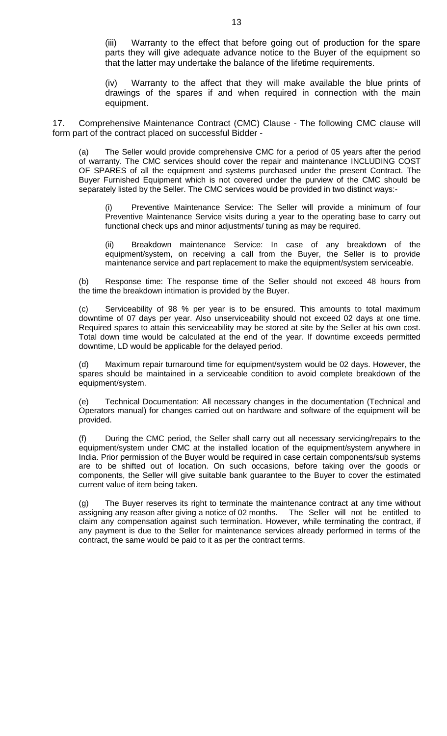(iii) Warranty to the effect that before going out of production for the spare parts they will give adequate advance notice to the Buyer of the equipment so that the latter may undertake the balance of the lifetime requirements.

(iv) Warranty to the affect that they will make available the blue prints of drawings of the spares if and when required in connection with the main equipment.

17. Comprehensive Maintenance Contract (CMC) Clause - The following CMC clause will form part of the contract placed on successful Bidder -

(a) The Seller would provide comprehensive CMC for a period of 05 years after the period of warranty. The CMC services should cover the repair and maintenance INCLUDING COST OF SPARES of all the equipment and systems purchased under the present Contract. The Buyer Furnished Equipment which is not covered under the purview of the CMC should be separately listed by the Seller. The CMC services would be provided in two distinct ways:-

Preventive Maintenance Service: The Seller will provide a minimum of four Preventive Maintenance Service visits during a year to the operating base to carry out functional check ups and minor adjustments/ tuning as may be required.

(ii) Breakdown maintenance Service: In case of any breakdown of the equipment/system, on receiving a call from the Buyer, the Seller is to provide maintenance service and part replacement to make the equipment/system serviceable.

(b) Response time: The response time of the Seller should not exceed 48 hours from the time the breakdown intimation is provided by the Buyer.

(c) Serviceability of 98 % per year is to be ensured. This amounts to total maximum downtime of 07 days per year. Also unserviceability should not exceed 02 days at one time. Required spares to attain this serviceability may be stored at site by the Seller at his own cost. Total down time would be calculated at the end of the year. If downtime exceeds permitted downtime, LD would be applicable for the delayed period.

(d) Maximum repair turnaround time for equipment/system would be 02 days. However, the spares should be maintained in a serviceable condition to avoid complete breakdown of the equipment/system.

(e) Technical Documentation: All necessary changes in the documentation (Technical and Operators manual) for changes carried out on hardware and software of the equipment will be provided.

(f) During the CMC period, the Seller shall carry out all necessary servicing/repairs to the equipment/system under CMC at the installed location of the equipment/system anywhere in India. Prior permission of the Buyer would be required in case certain components/sub systems are to be shifted out of location. On such occasions, before taking over the goods or components, the Seller will give suitable bank guarantee to the Buyer to cover the estimated current value of item being taken.

(g) The Buyer reserves its right to terminate the maintenance contract at any time without assigning any reason after giving a notice of 02 months. The Seller will not be entitled to claim any compensation against such termination. However, while terminating the contract, if any payment is due to the Seller for maintenance services already performed in terms of the contract, the same would be paid to it as per the contract terms.